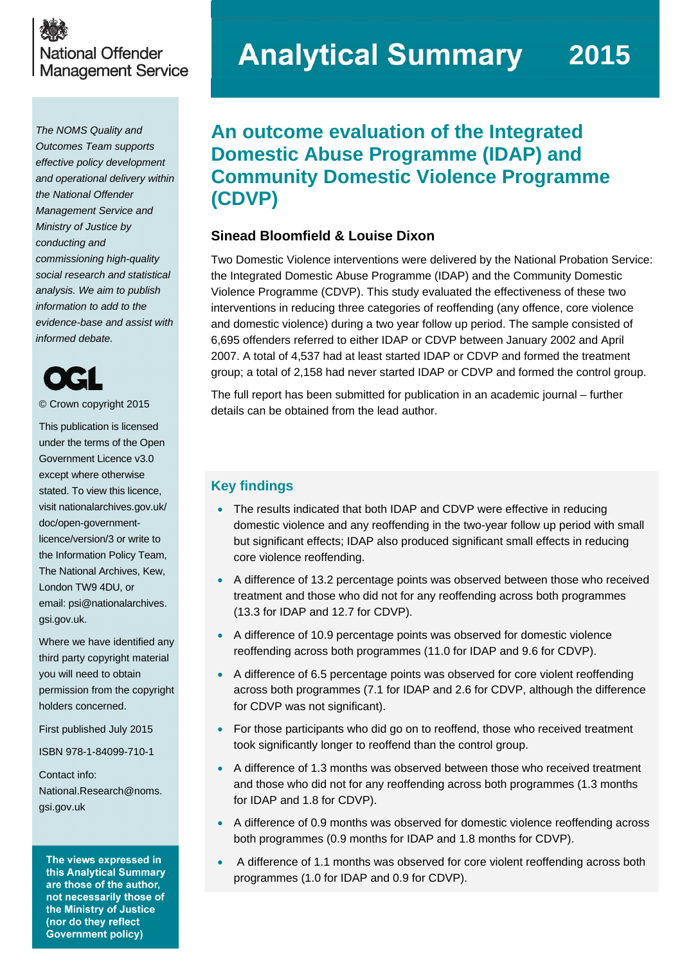

*The NOMS Quality and Outcomes Team supports effective policy development and operational delivery within the National Offender Management Service and Ministry of Justice by conducting and commissioning high-quality social research and statistical analysis. We aim to publish information to add to the evidence-base and assist with informed debate.* 

© Crown copyright 2015

This publication is licensed under the terms of the Open Government Licence v3.0 except where otherwise stated. To view this licence, visit [nationalarchives.gov.uk/](http://nationalarchives.gov.uk/doc/open-government-licence/version/3/)  [doc/open-government](http://nationalarchives.gov.uk/doc/open-government-licence/version/3/)[licence/version/3](http://nationalarchives.gov.uk/doc/open-government-licence/version/3/) or write to the Information Policy Team, The National Archives, Kew, London TW9 4DU, or email: [psi@nationalarchives.](mailto:psi@nationalarchives.%0Bgsi.gov.uk)  [gsi.gov.uk.](mailto:psi@nationalarchives.%0Bgsi.gov.uk)

Where we have identified any third party copyright material you will need to obtain permission from the copyright holders concerned.

First published July 2015

ISBN 978-1-84099-710-1

Contact info: [National.Research@noms.](mailto:National.Research@noms.gsi.gov.uk)  [gsi.gov.uk](mailto:National.Research@noms.gsi.gov.uk)

The views expressed in this Analytical Summary are those of the author, not necessarily those of the Ministry of Justice (nor do they reflect **Government policy)** 

# **Analytical Summary 2015**

# **An outcome evaluation of the Integrated Domestic Abuse Programme (IDAP) and Community Domestic Violence Programme (CDVP)**

# **Sinead Bloomfield & Louise Dixon**

Two Domestic Violence interventions were delivered by the National Probation Service: the Integrated Domestic Abuse Programme (IDAP) and the Community Domestic Violence Programme (CDVP). This study evaluated the effectiveness of these two interventions in reducing three categories of reoffending (any offence, core violence and domestic violence) during a two year follow up period. The sample consisted of 6,695 offenders referred to either IDAP or CDVP between January 2002 and April 2007. A total of 4,537 had at least started IDAP or CDVP and formed the treatment group; a total of 2,158 had never started IDAP or CDVP and formed the control group.

The full report has been submitted for publication in an academic journal – further details can be obtained from the lead author.

# **Key findings**

- The results indicated that both IDAP and CDVP were effective in reducing domestic violence and any reoffending in the two-year follow up period with small but significant effects; IDAP also produced significant small effects in reducing core violence reoffending.
- A difference of 13.2 percentage points was observed between those who received treatment and those who did not for any reoffending across both programmes (13.3 for IDAP and 12.7 for CDVP).
- A difference of 10.9 percentage points was observed for domestic violence reoffending across both programmes (11.0 for IDAP and 9.6 for CDVP).
- A difference of 6.5 percentage points was observed for core violent reoffending across both programmes (7.1 for IDAP and 2.6 for CDVP, although the difference for CDVP was not significant).
- For those participants who did go on to reoffend, those who received treatment took significantly longer to reoffend than the control group.
- A difference of 1.3 months was observed between those who received treatment and those who did not for any reoffending across both programmes (1.3 months for IDAP and 1.8 for CDVP).
- A difference of 0.9 months was observed for domestic violence reoffending across both programmes (0.9 months for IDAP and 1.8 months for CDVP).
- A difference of 1.1 months was observed for core violent reoffending across both programmes (1.0 for IDAP and 0.9 for CDVP).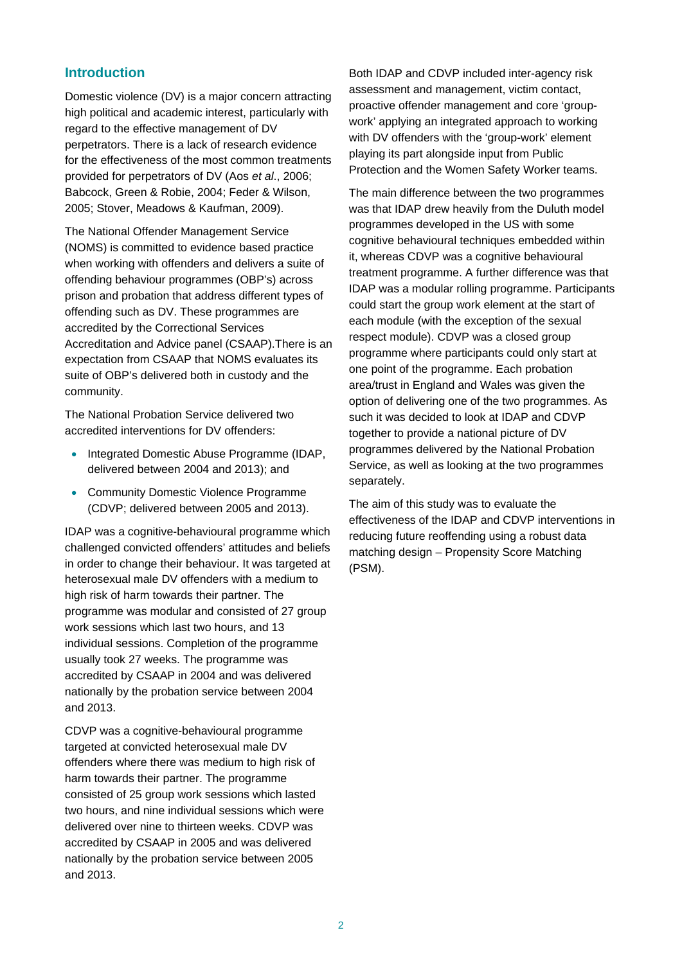## **Introduction**

Domestic violence (DV) is a major concern attracting high political and academic interest, particularly with regard to the effective management of DV perpetrators. There is a lack of research evidence for the effectiveness of the most common treatments provided for perpetrators of DV (Aos *et al*., 2006; Babcock, Green & Robie, 2004; Feder & Wilson, 2005; Stover, Meadows & Kaufman, 2009).

The National Offender Management Service (NOMS) is committed to evidence based practice when working with offenders and delivers a suite of offending behaviour programmes (OBP's) across prison and probation that address different types of offending such as DV. These programmes are accredited by the Correctional Services Accreditation and Advice panel (CSAAP).There is an expectation from CSAAP that NOMS evaluates its suite of OBP's delivered both in custody and the community.

The National Probation Service delivered two accredited interventions for DV offenders:

- Integrated Domestic Abuse Programme (IDAP, delivered between 2004 and 2013); and
- Community Domestic Violence Programme (CDVP; delivered between 2005 and 2013).

IDAP was a cognitive-behavioural programme which challenged convicted offenders' attitudes and beliefs in order to change their behaviour. It was targeted at heterosexual male DV offenders with a medium to high risk of harm towards their partner. The programme was modular and consisted of 27 group work sessions which last two hours, and 13 individual sessions. Completion of the programme usually took 27 weeks. The programme was accredited by CSAAP in 2004 and was delivered nationally by the probation service between 2004 and 2013.

CDVP was a cognitive-behavioural programme targeted at convicted heterosexual male DV offenders where there was medium to high risk of harm towards their partner. The programme consisted of 25 group work sessions which lasted two hours, and nine individual sessions which were delivered over nine to thirteen weeks. CDVP was accredited by CSAAP in 2005 and was delivered nationally by the probation service between 2005 and 2013.

Both IDAP and CDVP included inter-agency risk assessment and management, victim contact, proactive offender management and core 'groupwork' applying an integrated approach to working with DV offenders with the 'group-work' element playing its part alongside input from Public Protection and the Women Safety Worker teams.

The main difference between the two programmes was that IDAP drew heavily from the Duluth model programmes developed in the US with some cognitive behavioural techniques embedded within it, whereas CDVP was a cognitive behavioural treatment programme. A further difference was that IDAP was a modular rolling programme. Participants could start the group work element at the start of each module (with the exception of the sexual respect module). CDVP was a closed group programme where participants could only start at one point of the programme. Each probation area/trust in England and Wales was given the option of delivering one of the two programmes. As such it was decided to look at IDAP and CDVP together to provide a national picture of DV programmes delivered by the National Probation Service, as well as looking at the two programmes separately.

The aim of this study was to evaluate the effectiveness of the IDAP and CDVP interventions in reducing future reoffending using a robust data matching design – Propensity Score Matching (PSM).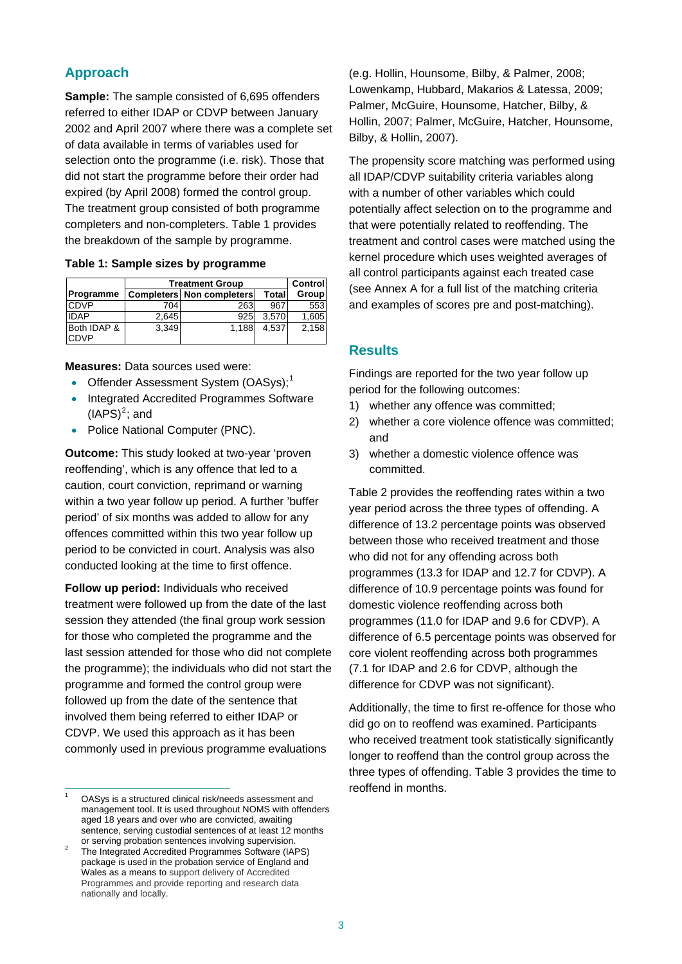# **Approach**

**Sample:** The sample consisted of 6,695 offenders referred to either IDAP or CDVP between January 2002 and April 2007 where there was a complete set of data available in terms of variables used for selection onto the programme (i.e. risk). Those that did not start the programme before their order had expired (by April 2008) formed the control group. The treatment group consisted of both programme completers and non-completers. Table 1 provides the breakdown of the sample by programme.

#### **Table 1: Sample sizes by programme**

|                            | <b>Treatment Group</b> |                                  |              | Controll |
|----------------------------|------------------------|----------------------------------|--------------|----------|
| Programme                  |                        | <b>Completers Non completers</b> | <b>Total</b> | Group    |
| <b>CDVP</b>                | 704                    | 263                              | 967          | 553      |
| <b>IDAP</b>                | 2,645                  | 925                              | 3.570        | 1,605    |
| Both IDAP &<br><b>CDVP</b> | 3.349                  | 1.188                            | 4,537        | 2,158    |

**Measures:** Data sources used were:

- Offender Assessment System (OASys);<sup>[1](#page-2-0)</sup>
- Integrated Accredited Programmes Software  $(IAPS)<sup>2</sup>$  $(IAPS)<sup>2</sup>$  $(IAPS)<sup>2</sup>$ ; and
- Police National Computer (PNC).

**Outcome:** This study looked at two-year 'proven reoffending', which is any offence that led to a caution, court conviction, reprimand or warning within a two year follow up period. A further 'buffer period' of six months was added to allow for any offences committed within this two year follow up period to be convicted in court. Analysis was also conducted looking at the time to first offence.

**Follow up period:** Individuals who received treatment were followed up from the date of the last session they attended (the final group work session for those who completed the programme and the last session attended for those who did not complete the programme); the individuals who did not start the programme and formed the control group were followed up from the date of the sentence that involved them being referred to either IDAP or CDVP. We used this approach as it has been commonly used in previous programme evaluations

 $\overline{a}$ 

(e.g. Hollin, Hounsome, Bilby, & Palmer, 2008; Lowenkamp, Hubbard, Makarios & Latessa, 2009; Palmer, McGuire, Hounsome, Hatcher, Bilby, & Hollin, 2007; Palmer, McGuire, Hatcher, Hounsome, Bilby, & Hollin, 2007).

The propensity score matching was performed using all IDAP/CDVP suitability criteria variables along with a number of other variables which could potentially affect selection on to the programme and that were potentially related to reoffending. The treatment and control cases were matched using the kernel procedure which uses weighted averages of all control participants against each treated case (see Annex A for a full list of the matching criteria and examples of scores pre and post-matching).

#### **Results**

Findings are reported for the two year follow up period for the following outcomes:

- 1) whether any offence was committed;
- 2) whether a core violence offence was committed; and
- 3) whether a domestic violence offence was committed.

Table 2 provides the reoffending rates within a two year period across the three types of offending. A difference of 13.2 percentage points was observed between those who received treatment and those who did not for any offending across both programmes (13.3 for IDAP and 12.7 for CDVP). A difference of 10.9 percentage points was found for domestic violence reoffending across both programmes (11.0 for IDAP and 9.6 for CDVP). A difference of 6.5 percentage points was observed for core violent reoffending across both programmes (7.1 for IDAP and 2.6 for CDVP, although the difference for CDVP was not significant).

Additionally, the time to first re-offence for those who did go on to reoffend was examined. Participants who received treatment took statistically significantly longer to reoffend than the control group across the three types of offending. Table 3 provides the time to reoffend in months.

<span id="page-2-0"></span><sup>1</sup> OASys is a structured clinical risk/needs assessment and management tool. It is used throughout NOMS with offenders aged 18 years and over who are convicted, awaiting sentence, serving custodial sentences of at least 12 months or serving probation sentences involving supervision.

<span id="page-2-1"></span>The Integrated Accredited Programmes Software (IAPS) package is used in the probation service of England and Wales as a means to support delivery of Accredited Programmes and provide reporting and research data nationally and locally.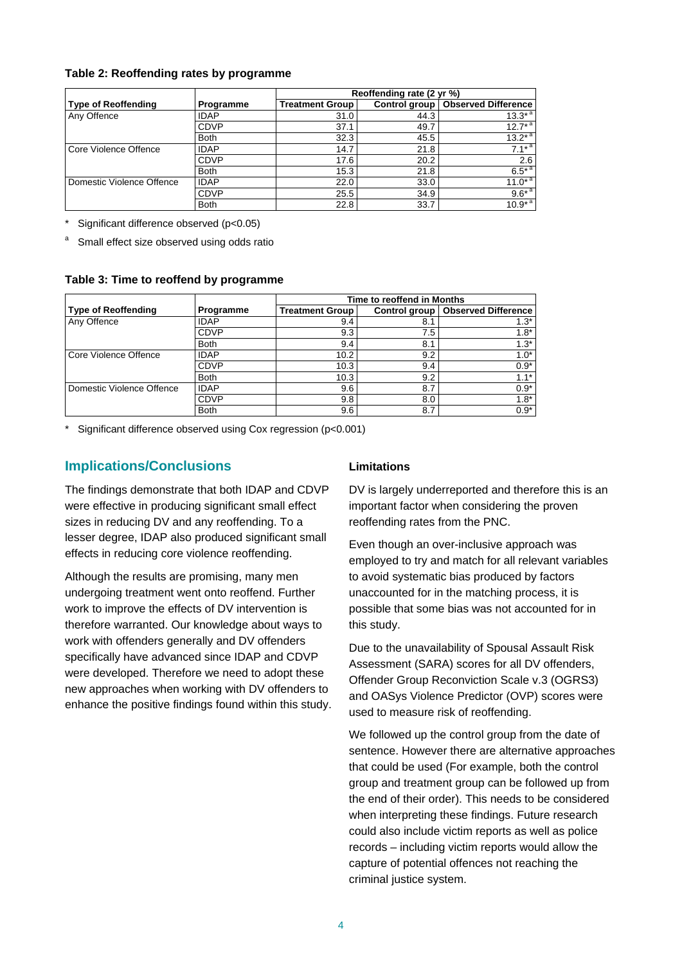#### **Table 2: Reoffending rates by programme**

|                            |             | Reoffending rate (2 yr %) |      |                                     |  |
|----------------------------|-------------|---------------------------|------|-------------------------------------|--|
| <b>Type of Reoffending</b> | Programme   | <b>Treatment Group</b>    |      | Control group   Observed Difference |  |
| Any Offence                | <b>IDAP</b> | 31.0                      | 44.3 | $13.3^{*}$ <sup>a</sup>             |  |
|                            | <b>CDVP</b> | 37.1                      | 49.7 | $12.7^{*}$ <sup>a</sup>             |  |
|                            | <b>Both</b> | 32.3                      | 45.5 | $13.2^*$ <sup>a</sup>               |  |
| Core Violence Offence      | <b>IDAP</b> | 14.7                      | 21.8 | $7.1^{*}$ <sup>a</sup>              |  |
|                            | <b>CDVP</b> | 17.6                      | 20.2 | 2.6                                 |  |
|                            | <b>Both</b> | 15.3                      | 21.8 | $6.5*$ <sup>a</sup>                 |  |
| Domestic Violence Offence  | <b>IDAP</b> | 22.0                      | 33.0 | $11.0*$ <sup>a</sup>                |  |
|                            | <b>CDVP</b> | 25.5                      | 34.9 | $9.6*^{a}$                          |  |
|                            | <b>Both</b> | 22.8                      | 33.7 | $10.9*$ <sup>a</sup>                |  |

\* Significant difference observed (p<0.05)

a Small effect size observed using odds ratio

#### **Table 3: Time to reoffend by programme**

|                            |             | Time to reoffend in Months |     |                                     |
|----------------------------|-------------|----------------------------|-----|-------------------------------------|
| <b>Type of Reoffending</b> | Programme   | <b>Treatment Group</b>     |     | Control group   Observed Difference |
| Any Offence                | <b>IDAP</b> | 9.4                        | 8.1 | $1.3*$                              |
|                            | <b>CDVP</b> | 9.3                        | 7.5 | $1.8*$                              |
|                            | <b>Both</b> | 9.4                        | 8.1 | $1.3*$                              |
| Core Violence Offence      | <b>IDAP</b> | 10.2                       | 9.2 | $1.0*$                              |
|                            | <b>CDVP</b> | 10.3                       | 9.4 | $0.9*$                              |
|                            | <b>Both</b> | 10.3                       | 9.2 | $1.1*$                              |
| Domestic Violence Offence  | <b>IDAP</b> | 9.6                        | 8.7 | $0.9*$                              |
|                            | <b>CDVP</b> | 9.8                        | 8.0 | $1.8*$                              |
|                            | <b>Both</b> | 9.6                        | 8.7 | $0.9*$                              |

\* Significant difference observed using Cox regression (p<0.001)

# **Implications/Conclusions**

The findings demonstrate that both IDAP and CDVP were effective in producing significant small effect sizes in reducing DV and any reoffending. To a lesser degree, IDAP also produced significant small effects in reducing core violence reoffending.

Although the results are promising, many men undergoing treatment went onto reoffend. Further work to improve the effects of DV intervention is therefore warranted. Our knowledge about ways to work with offenders generally and DV offenders specifically have advanced since IDAP and CDVP were developed. Therefore we need to adopt these new approaches when working with DV offenders to enhance the positive findings found within this study.

#### **Limitations**

DV is largely underreported and therefore this is an important factor when considering the proven reoffending rates from the PNC.

Even though an over-inclusive approach was employed to try and match for all relevant variables to avoid systematic bias produced by factors unaccounted for in the matching process, it is possible that some bias was not accounted for in this study.

Due to the unavailability of Spousal Assault Risk Assessment (SARA) scores for all DV offenders, Offender Group Reconviction Scale v.3 (OGRS3) and OASys Violence Predictor (OVP) scores were used to measure risk of reoffending.

We followed up the control group from the date of sentence. However there are alternative approaches that could be used (For example, both the control group and treatment group can be followed up from the end of their order). This needs to be considered when interpreting these findings. Future research could also include victim reports as well as police records – including victim reports would allow the capture of potential offences not reaching the criminal justice system.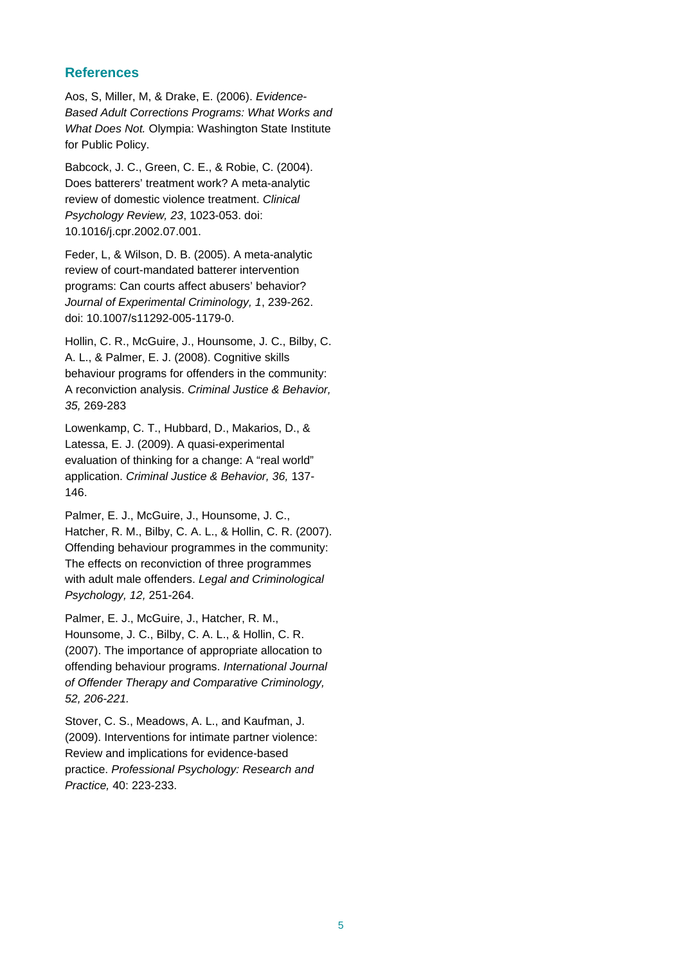### **References**

Aos, S, Miller, M, & Drake, E. (2006). *Evidence-Based Adult Corrections Programs: What Works and What Does Not.* Olympia: Washington State Institute for Public Policy.

Babcock, J. C., Green, C. E., & Robie, C. (2004). Does batterers' treatment work? A meta-analytic review of domestic violence treatment. *Clinical Psychology Review, 23*, 1023-053. doi: 10.1016/j.cpr.2002.07.001.

Feder, L, & Wilson, D. B. (2005). A meta-analytic review of court-mandated batterer intervention programs: Can courts affect abusers' behavior? *Journal of Experimental Criminology, 1*, 239-262. doi: 10.1007/s11292-005-1179-0.

Hollin, C. R., McGuire, J., Hounsome, J. C., Bilby, C. A. L., & Palmer, E. J. (2008). Cognitive skills behaviour programs for offenders in the community: A reconviction analysis. *Criminal Justice & Behavior, 35,* 269-283

Lowenkamp, C. T., Hubbard, D., Makarios, D., & Latessa, E. J. (2009). A quasi-experimental evaluation of thinking for a change: A "real world" application. *Criminal Justice & Behavior, 36,* 137- 146.

Palmer, E. J., McGuire, J., Hounsome, J. C., Hatcher, R. M., Bilby, C. A. L., & Hollin, C. R. (2007). Offending behaviour programmes in the community: The effects on reconviction of three programmes with adult male offenders. *Legal and Criminological Psychology, 12,* 251-264.

Palmer, E. J., McGuire, J., Hatcher, R. M., Hounsome, J. C., Bilby, C. A. L., & Hollin, C. R. (2007). The importance of appropriate allocation to offending behaviour programs. *International Journal of Offender Therapy and Comparative Criminology, 52, 206-221.* 

Stover, C. S., Meadows, A. L., and Kaufman, J. (2009). Interventions for intimate partner violence: Review and implications for evidence-based practice. *Professional Psychology: Research and Practice,* 40: 223-233.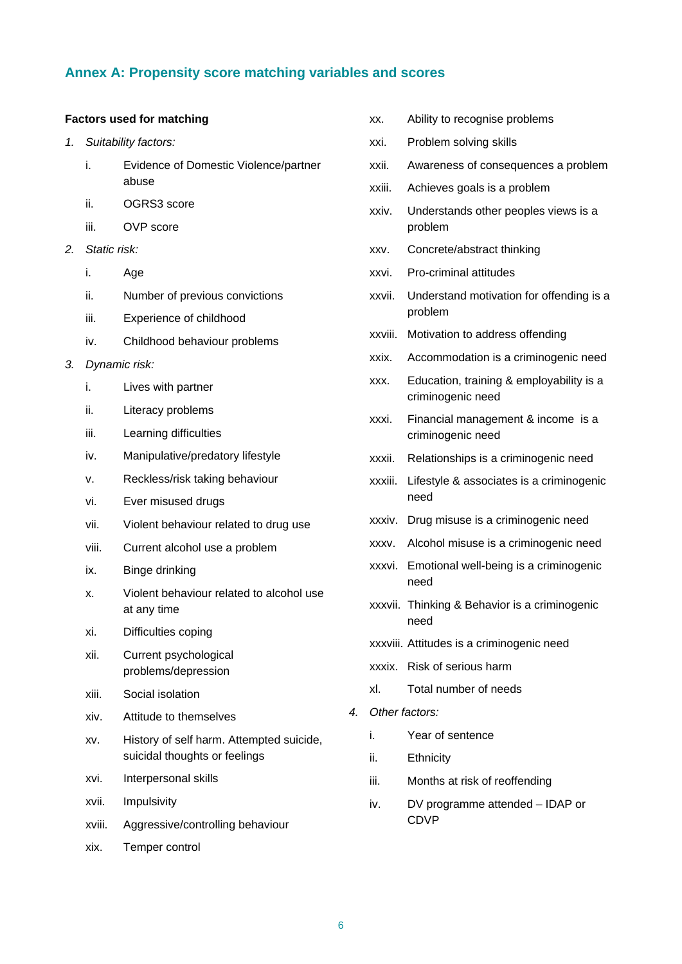# **Annex A: Propensity score matching variables and scores**

#### **Factors used for matching**

- *1. Suitability factors:* 
	- i. Evidence of Domestic Violence/partner abuse
	- ii. OGRS3 score
	- iii. OVP score
- *2. Static risk:* 
	- i. Age
	- ii. Number of previous convictions
	- iii. Experience of childhood
	- iv. Childhood behaviour problems
- *3. Dynamic risk:* 
	- i. Lives with partner
	- ii. Literacy problems
	- iii. Learning difficulties
	- iv. Manipulative/predatory lifestyle
	- v. Reckless/risk taking behaviour
	- vi. Ever misused drugs
	- vii. Violent behaviour related to drug use
	- viii. Current alcohol use a problem
	- ix. Binge drinking
	- x. Violent behaviour related to alcohol use at any time
	- xi. Difficulties coping
	- xii. Current psychological problems/depression
	- xiii. Social isolation
	- xiv. Attitude to themselves
	- xv. History of self harm. Attempted suicide, suicidal thoughts or feelings
	- xvi. Interpersonal skills
	- xvii. Impulsivity
	- xviii. Aggressive/controlling behaviour
	- xix. Temper control
- xx. Ability to recognise problems
- xxi. Problem solving skills
- xxii. Awareness of consequences a problem
- xxiii. Achieves goals is a problem
- xxiv. Understands other peoples views is a problem
- xxv. Concrete/abstract thinking
- xxvi. Pro-criminal attitudes
- xxvii. Understand motivation for offending is a problem
- xxviii. Motivation to address offending
- xxix. Accommodation is a criminogenic need
- xxx. Education, training & employability is a criminogenic need
- xxxi. Financial management & income is a criminogenic need
- xxxii. Relationships is a criminogenic need
- xxxiii. Lifestyle & associates is a criminogenic need
- xxxiv. Drug misuse is a criminogenic need
- xxxv. Alcohol misuse is a criminogenic need
- xxxvi. Emotional well-being is a criminogenic need
- xxxvii. Thinking & Behavior is a criminogenic need
- xxxviii. Attitudes is a criminogenic need
- xxxix. Risk of serious harm
- xl. Total number of needs
- *4. Other factors:* 
	- i. Year of sentence
	- ii. Ethnicity
	- iii. Months at risk of reoffending
	- iv. DV programme attended IDAP or CDVP